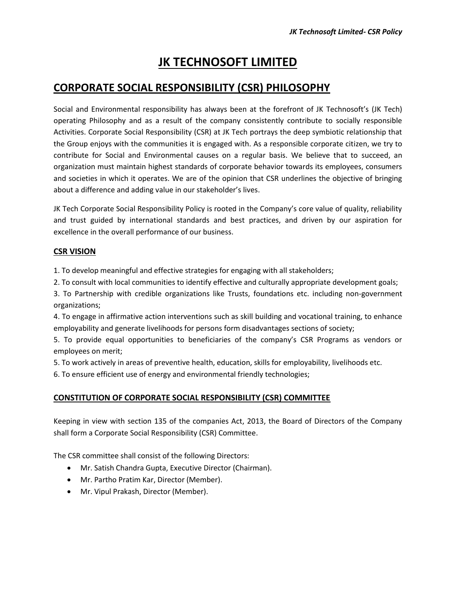# **JK TECHNOSOFT LIMITED**

# **CORPORATE SOCIAL RESPONSIBILITY (CSR) PHILOSOPHY**

Social and Environmental responsibility has always been at the forefront of JK Technosoft's (JK Tech) operating Philosophy and as a result of the company consistently contribute to socially responsible Activities. Corporate Social Responsibility (CSR) at JK Tech portrays the deep symbiotic relationship that the Group enjoys with the communities it is engaged with. As a responsible corporate citizen, we try to contribute for Social and Environmental causes on a regular basis. We believe that to succeed, an organization must maintain highest standards of corporate behavior towards its employees, consumers and societies in which it operates. We are of the opinion that CSR underlines the objective of bringing about a difference and adding value in our stakeholder's lives.

JK Tech Corporate Social Responsibility Policy is rooted in the Company's core value of quality, reliability and trust guided by international standards and best practices, and driven by our aspiration for excellence in the overall performance of our business.

# **CSR VISION**

1. To develop meaningful and effective strategies for engaging with all stakeholders;

2. To consult with local communities to identify effective and culturally appropriate development goals;

3. To Partnership with credible organizations like Trusts, foundations etc. including non-government organizations;

4. To engage in affirmative action interventions such as skill building and vocational training, to enhance employability and generate livelihoods for persons form disadvantages sections of society;

5. To provide equal opportunities to beneficiaries of the company's CSR Programs as vendors or employees on merit;

5. To work actively in areas of preventive health, education, skills for employability, livelihoods etc.

6. To ensure efficient use of energy and environmental friendly technologies;

## **CONSTITUTION OF CORPORATE SOCIAL RESPONSIBILITY (CSR) COMMITTEE**

Keeping in view with section 135 of the companies Act, 2013, the Board of Directors of the Company shall form a Corporate Social Responsibility (CSR) Committee.

The CSR committee shall consist of the following Directors:

- Mr. Satish Chandra Gupta, Executive Director (Chairman).
- Mr. Partho Pratim Kar, Director (Member).
- Mr. Vipul Prakash, Director (Member).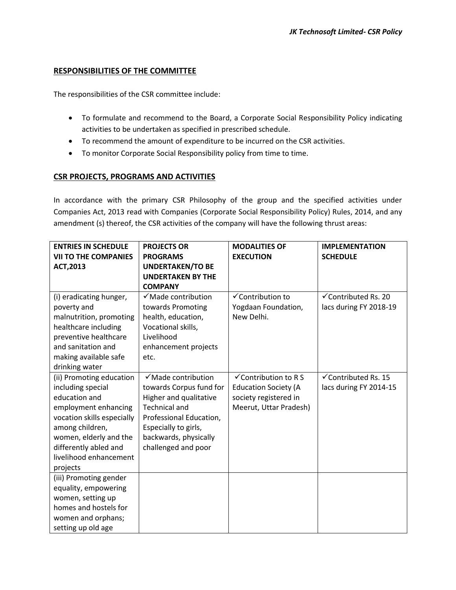## **RESPONSIBILITIES OF THE COMMITTEE**

The responsibilities of the CSR committee include:

- To formulate and recommend to the Board, a Corporate Social Responsibility Policy indicating activities to be undertaken as specified in prescribed schedule.
- To recommend the amount of expenditure to be incurred on the CSR activities.
- To monitor Corporate Social Responsibility policy from time to time.

## **CSR PROJECTS, PROGRAMS AND ACTIVITIES**

In accordance with the primary CSR Philosophy of the group and the specified activities under Companies Act, 2013 read with Companies (Corporate Social Responsibility Policy) Rules, 2014, and any amendment (s) thereof, the CSR activities of the company will have the following thrust areas:

| <b>ENTRIES IN SCHEDULE</b>  | <b>PROJECTS OR</b>             | <b>MODALITIES OF</b>         | <b>IMPLEMENTATION</b>           |
|-----------------------------|--------------------------------|------------------------------|---------------------------------|
| <b>VII TO THE COMPANIES</b> | <b>PROGRAMS</b>                | <b>EXECUTION</b>             | <b>SCHEDULE</b>                 |
| <b>ACT, 2013</b>            | <b>UNDERTAKEN/TO BE</b>        |                              |                                 |
|                             | <b>UNDERTAKEN BY THE</b>       |                              |                                 |
|                             | <b>COMPANY</b>                 |                              |                                 |
| (i) eradicating hunger,     | $\checkmark$ Made contribution | $\checkmark$ Contribution to | $\checkmark$ Contributed Rs. 20 |
| poverty and                 | towards Promoting              | Yogdaan Foundation,          | lacs during FY 2018-19          |
| malnutrition, promoting     | health, education,             | New Delhi.                   |                                 |
| healthcare including        | Vocational skills,             |                              |                                 |
| preventive healthcare       | Livelihood                     |                              |                                 |
| and sanitation and          | enhancement projects           |                              |                                 |
| making available safe       | etc.                           |                              |                                 |
| drinking water              |                                |                              |                                 |
| (ii) Promoting education    | $\checkmark$ Made contribution | √Contribution to R S         | √Contributed Rs. 15             |
| including special           | towards Corpus fund for        | <b>Education Society (A</b>  | lacs during FY 2014-15          |
| education and               | Higher and qualitative         | society registered in        |                                 |
| employment enhancing        | <b>Technical and</b>           | Meerut, Uttar Pradesh)       |                                 |
| vocation skills especially  | Professional Education,        |                              |                                 |
| among children,             | Especially to girls,           |                              |                                 |
| women, elderly and the      | backwards, physically          |                              |                                 |
| differently abled and       | challenged and poor            |                              |                                 |
| livelihood enhancement      |                                |                              |                                 |
| projects                    |                                |                              |                                 |
| (iii) Promoting gender      |                                |                              |                                 |
| equality, empowering        |                                |                              |                                 |
| women, setting up           |                                |                              |                                 |
| homes and hostels for       |                                |                              |                                 |
| women and orphans;          |                                |                              |                                 |
| setting up old age          |                                |                              |                                 |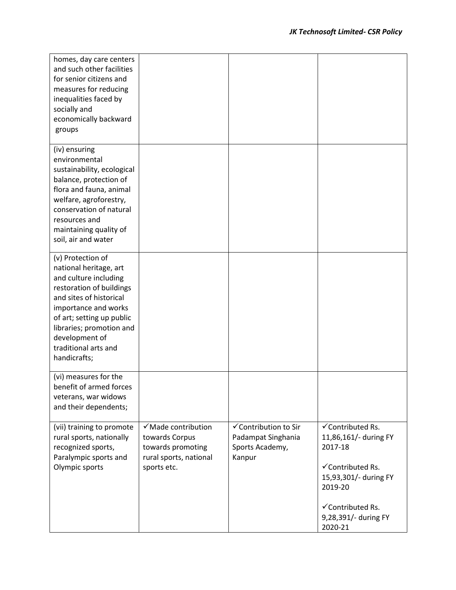| homes, day care centers<br>and such other facilities<br>for senior citizens and<br>measures for reducing<br>inequalities faced by<br>socially and<br>economically backward<br>groups                                                                                   |                                                                                                    |                                                                         |                                                                                                                                                                     |
|------------------------------------------------------------------------------------------------------------------------------------------------------------------------------------------------------------------------------------------------------------------------|----------------------------------------------------------------------------------------------------|-------------------------------------------------------------------------|---------------------------------------------------------------------------------------------------------------------------------------------------------------------|
| (iv) ensuring<br>environmental<br>sustainability, ecological<br>balance, protection of<br>flora and fauna, animal<br>welfare, agroforestry,<br>conservation of natural<br>resources and<br>maintaining quality of<br>soil, air and water                               |                                                                                                    |                                                                         |                                                                                                                                                                     |
| (v) Protection of<br>national heritage, art<br>and culture including<br>restoration of buildings<br>and sites of historical<br>importance and works<br>of art; setting up public<br>libraries; promotion and<br>development of<br>traditional arts and<br>handicrafts; |                                                                                                    |                                                                         |                                                                                                                                                                     |
| (vi) measures for the<br>benefit of armed forces<br>veterans, war widows<br>and their dependents;                                                                                                                                                                      |                                                                                                    |                                                                         |                                                                                                                                                                     |
| (vii) training to promote<br>rural sports, nationally<br>recognized sports,<br>Paralympic sports and<br>Olympic sports                                                                                                                                                 | √Made contribution<br>towards Corpus<br>towards promoting<br>rural sports, national<br>sports etc. | √Contribution to Sir<br>Padampat Singhania<br>Sports Academy,<br>Kanpur | √Contributed Rs.<br>11,86,161/- during FY<br>2017-18<br>√Contributed Rs.<br>15,93,301/- during FY<br>2019-20<br>√Contributed Rs.<br>9,28,391/- during FY<br>2020-21 |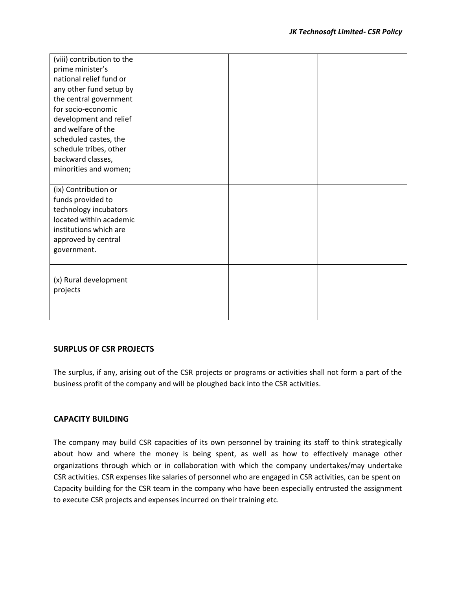| (viii) contribution to the<br>prime minister's<br>national relief fund or<br>any other fund setup by<br>the central government<br>for socio-economic<br>development and relief<br>and welfare of the<br>scheduled castes, the<br>schedule tribes, other<br>backward classes, |  |  |
|------------------------------------------------------------------------------------------------------------------------------------------------------------------------------------------------------------------------------------------------------------------------------|--|--|
| minorities and women;                                                                                                                                                                                                                                                        |  |  |
| (ix) Contribution or<br>funds provided to<br>technology incubators<br>located within academic<br>institutions which are<br>approved by central<br>government.                                                                                                                |  |  |
| (x) Rural development<br>projects                                                                                                                                                                                                                                            |  |  |

#### **SURPLUS OF CSR PROJECTS**

The surplus, if any, arising out of the CSR projects or programs or activities shall not form a part of the business profit of the company and will be ploughed back into the CSR activities.

#### **CAPACITY BUILDING**

The company may build CSR capacities of its own personnel by training its staff to think strategically about how and where the money is being spent, as well as how to effectively manage other organizations through which or in collaboration with which the company undertakes/may undertake CSR activities. CSR expenses like salaries of personnel who are engaged in CSR activities, can be spent on Capacity building for the CSR team in the company who have been especially entrusted the assignment to execute CSR projects and expenses incurred on their training etc.